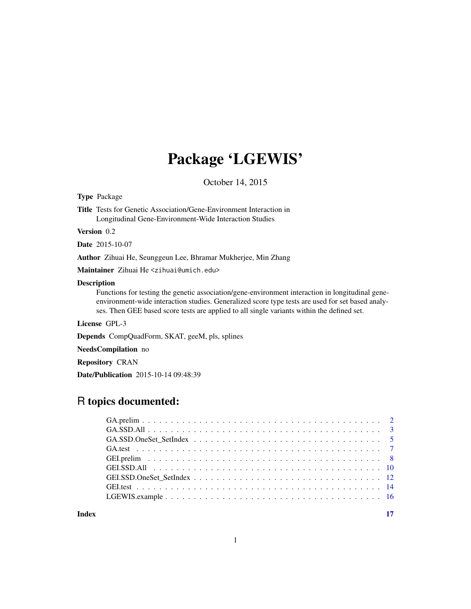## Package 'LGEWIS'

October 14, 2015

Type Package

Title Tests for Genetic Association/Gene-Environment Interaction in Longitudinal Gene-Environment-Wide Interaction Studies

Version 0.2

Date 2015-10-07

Author Zihuai He, Seunggeun Lee, Bhramar Mukherjee, Min Zhang

Maintainer Zihuai He <zihuai@umich.edu>

#### Description

Functions for testing the genetic association/gene-environment interaction in longitudinal geneenvironment-wide interaction studies. Generalized score type tests are used for set based analyses. Then GEE based score tests are applied to all single variants within the defined set.

License GPL-3

Depends CompQuadForm, SKAT, geeM, pls, splines

NeedsCompilation no

Repository CRAN

Date/Publication 2015-10-14 09:48:39

## R topics documented:

**Index** [17](#page-16-0)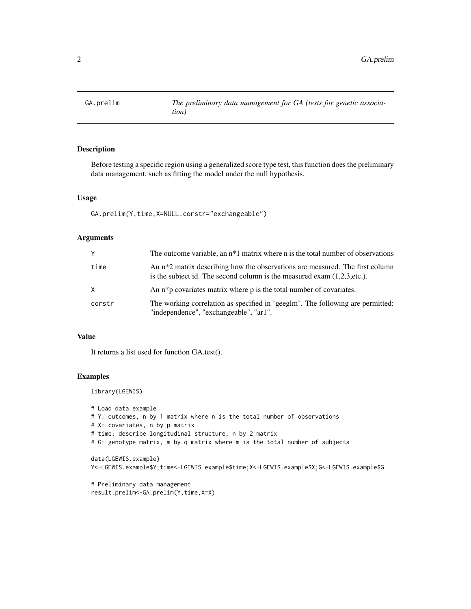<span id="page-1-0"></span>

### Description

Before testing a specific region using a generalized score type test, this function does the preliminary data management, such as fitting the model under the null hypothesis.

#### Usage

```
GA.prelim(Y,time,X=NULL,corstr="exchangeable")
```
#### Arguments

| Y      | The outcome variable, an $n*1$ matrix where n is the total number of observations                                                                           |
|--------|-------------------------------------------------------------------------------------------------------------------------------------------------------------|
| time   | An $n*2$ matrix describing how the observations are measured. The first column<br>is the subject id. The second column is the measured exam $(1,2,3,etc.).$ |
| X      | An $n * p$ covariates matrix where $p$ is the total number of covariates.                                                                                   |
| corstr | The working correlation as specified in 'geeglm'. The following are permitted:<br>"independence", "exchangeable", "ar1".                                    |

#### Value

It returns a list used for function GA.test().

## Examples

library(LGEWIS)

```
# Load data example
# Y: outcomes, n by 1 matrix where n is the total number of observations
# X: covariates, n by p matrix
# time: describe longitudinal structure, n by 2 matrix
# G: genotype matrix, m by q matrix where m is the total number of subjects
data(LGEWIS.example)
Y<-LGEWIS.example$Y;time<-LGEWIS.example$time;X<-LGEWIS.example$X;G<-LGEWIS.example$G
# Preliminary data management
result.prelim<-GA.prelim(Y,time,X=X)
```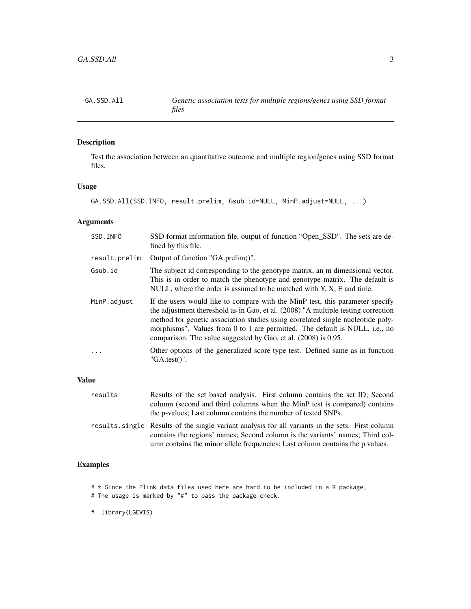<span id="page-2-0"></span>GA.SSD.All *Genetic association tests for multiple regions/genes using SSD format files*

## Description

Test the association between an quantitative outcome and multiple region/genes using SSD format files.

#### Usage

```
GA.SSD.All(SSD.INFO, result.prelim, Gsub.id=NULL, MinP.adjust=NULL, ...)
```
#### Arguments

| SSD. INFO     | SSD format information file, output of function "Open_SSD". The sets are de-<br>fined by this file.                                                                                                                                                                                                                                                                                                    |  |  |
|---------------|--------------------------------------------------------------------------------------------------------------------------------------------------------------------------------------------------------------------------------------------------------------------------------------------------------------------------------------------------------------------------------------------------------|--|--|
| result.prelim | Output of function "GA.prelim()".                                                                                                                                                                                                                                                                                                                                                                      |  |  |
| Gsub.id       | The subject id corresponding to the genotype matrix, an m dimensional vector.<br>This is in order to match the phenotype and genotype matrix. The default is<br>NULL, where the order is assumed to be matched with $Y$ , $X$ , $E$ and time.                                                                                                                                                          |  |  |
| MinP.adjust   | If the users would like to compare with the MinP test, this parameter specify<br>the adjustment thereshold as in Gao, et al. (2008) "A multiple testing correction<br>method for genetic association studies using correlated single nucleotide poly-<br>morphisms". Values from 0 to 1 are permitted. The default is NULL, i.e., no<br>comparison. The value suggested by Gao, et al. (2008) is 0.95. |  |  |
| $\cdot$       | Other options of the generalized score type test. Defined same as in function<br>$"GA.test()"$ .                                                                                                                                                                                                                                                                                                       |  |  |
|               |                                                                                                                                                                                                                                                                                                                                                                                                        |  |  |

## Value

| results | Results of the set based analysis. First column contains the set ID; Second                      |
|---------|--------------------------------------------------------------------------------------------------|
|         | column (second and third columns when the MinP test is compared) contains                        |
|         | the p-values; Last column contains the number of tested SNPs.                                    |
|         | results single Results of the single variant analysis for all variants in the sets. First column |
|         | contains the regions' names; Second column is the variants' names; Third col-                    |

umn contains the minor allele frequencies; Last column contains the p.values.

## Examples

- # \* Since the Plink data files used here are hard to be included in a R package,
- # The usage is marked by "#" to pass the package check.

# library(LGEWIS)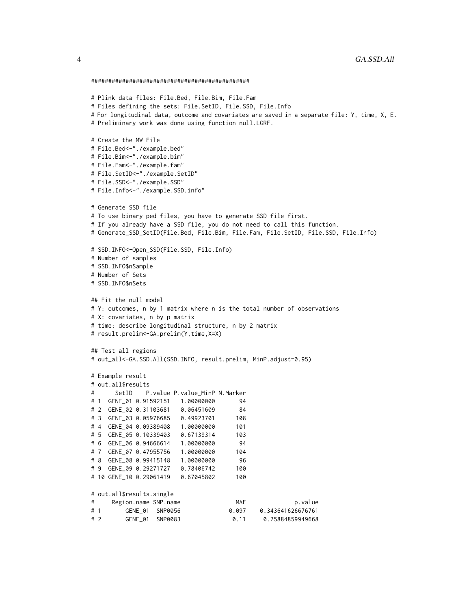```
##############################################
# Plink data files: File.Bed, File.Bim, File.Fam
# Files defining the sets: File.SetID, File.SSD, File.Info
# For longitudinal data, outcome and covariates are saved in a separate file: Y, time, X, E.
# Preliminary work was done using function null.LGRF.
# Create the MW File
# File.Bed<-"./example.bed"
# File.Bim<-"./example.bim"
# File.Fam<-"./example.fam"
# File.SetID<-"./example.SetID"
# File.SSD<-"./example.SSD"
# File.Info<-"./example.SSD.info"
# Generate SSD file
# To use binary ped files, you have to generate SSD file first.
# If you already have a SSD file, you do not need to call this function.
# Generate_SSD_SetID(File.Bed, File.Bim, File.Fam, File.SetID, File.SSD, File.Info)
# SSD.INFO<-Open_SSD(File.SSD, File.Info)
# Number of samples
# SSD.INFO$nSample
# Number of Sets
# SSD.INFO$nSets
## Fit the null model
# Y: outcomes, n by 1 matrix where n is the total number of observations
# X: covariates, n by p matrix
# time: describe longitudinal structure, n by 2 matrix
# result.prelim<-GA.prelim(Y,time,X=X)
## Test all regions
# out_all<-GA.SSD.All(SSD.INFO, result.prelim, MinP.adjust=0.95)
# Example result
# out.all$results
# SetID P.value P.value_MinP N.Marker
# 1 GENE_01 0.91592151 1.00000000 94
# 2 GENE_02 0.31103681 0.06451609 84
# 3 GENE_03 0.05976685 0.49923701 108
# 4 GENE_04 0.09389408 1.00000000 101
# 5 GENE_05 0.10339403 0.67139314 103
# 6 GENE_06 0.94666614 1.00000000 94
# 7 GENE_07 0.47955756 1.00000000 104
# 8 GENE_08 0.99415148 1.00000000 96
# 9 GENE_09 0.29271727 0.78406742 100
# 10 GENE_10 0.29061419 0.67045802 100
# out.all$results.single
# Region.name SNP.name MAF p.value
# 1 GENE_01 SNP0056 0.097 0.343641626676761
# 2 GENE_01 SNP0083 0.11 0.75884859949668
```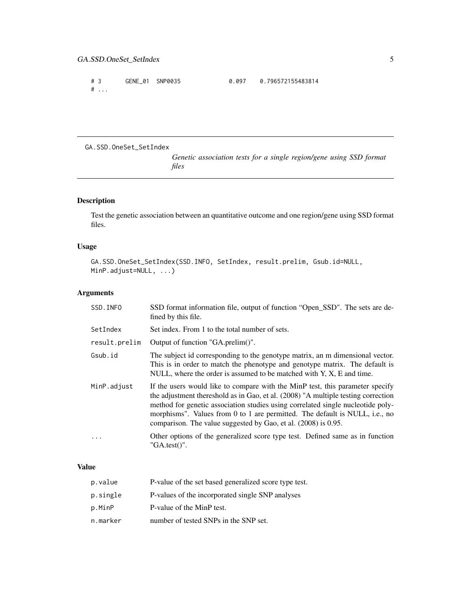<span id="page-4-0"></span># 3 GENE\_01 SNP0035 0.097 0.796572155483814 # ...

GA.SSD.OneSet\_SetIndex

*Genetic association tests for a single region/gene using SSD format files*

## Description

Test the genetic association between an quantitative outcome and one region/gene using SSD format files.

#### Usage

GA.SSD.OneSet\_SetIndex(SSD.INFO, SetIndex, result.prelim, Gsub.id=NULL, MinP.adjust=NULL, ...)

## Arguments

| SSD. INFO     | SSD format information file, output of function "Open_SSD". The sets are de-<br>fined by this file.                                                                                                                                                                                                                                                                                                    |  |  |  |
|---------------|--------------------------------------------------------------------------------------------------------------------------------------------------------------------------------------------------------------------------------------------------------------------------------------------------------------------------------------------------------------------------------------------------------|--|--|--|
| SetIndex      | Set index. From 1 to the total number of sets.                                                                                                                                                                                                                                                                                                                                                         |  |  |  |
| result.prelim | Output of function "GA.prelim()".                                                                                                                                                                                                                                                                                                                                                                      |  |  |  |
| Gsub.id       | The subject id corresponding to the genotype matrix, an m dimensional vector.<br>This is in order to match the phenotype and genotype matrix. The default is<br>NULL, where the order is assumed to be matched with Y, X, E and time.                                                                                                                                                                  |  |  |  |
| MinP.adjust   | If the users would like to compare with the MinP test, this parameter specify<br>the adjustment thereshold as in Gao, et al. (2008) "A multiple testing correction<br>method for genetic association studies using correlated single nucleotide poly-<br>morphisms". Values from 0 to 1 are permitted. The default is NULL, i.e., no<br>comparison. The value suggested by Gao, et al. (2008) is 0.95. |  |  |  |
|               | Other options of the generalized score type test. Defined same as in function<br>$"GA.test()"$ .                                                                                                                                                                                                                                                                                                       |  |  |  |

#### Value

| p.value  | P-value of the set based generalized score type test. |
|----------|-------------------------------------------------------|
| p.single | P-values of the incorporated single SNP analyses      |
| p.MinP   | P-value of the MinP test.                             |
| n.marker | number of tested SNPs in the SNP set.                 |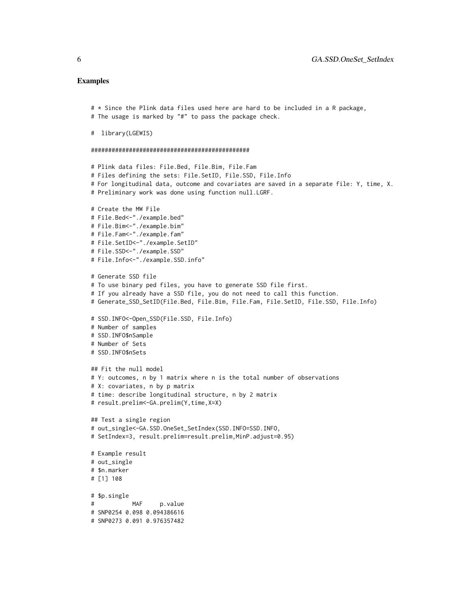#### Examples

```
# * Since the Plink data files used here are hard to be included in a R package,
# The usage is marked by "#" to pass the package check.
# library(LGEWIS)
##############################################
# Plink data files: File.Bed, File.Bim, File.Fam
# Files defining the sets: File.SetID, File.SSD, File.Info
# For longitudinal data, outcome and covariates are saved in a separate file: Y, time, X.
# Preliminary work was done using function null.LGRF.
# Create the MW File
# File.Bed<-"./example.bed"
# File.Bim<-"./example.bim"
# File.Fam<-"./example.fam"
# File.SetID<-"./example.SetID"
# File.SSD<-"./example.SSD"
# File.Info<-"./example.SSD.info"
# Generate SSD file
# To use binary ped files, you have to generate SSD file first.
# If you already have a SSD file, you do not need to call this function.
# Generate_SSD_SetID(File.Bed, File.Bim, File.Fam, File.SetID, File.SSD, File.Info)
# SSD.INFO<-Open_SSD(File.SSD, File.Info)
# Number of samples
# SSD.INFO$nSample
# Number of Sets
# SSD.INFO$nSets
## Fit the null model
# Y: outcomes, n by 1 matrix where n is the total number of observations
# X: covariates, n by p matrix
# time: describe longitudinal structure, n by 2 matrix
# result.prelim<-GA.prelim(Y,time,X=X)
## Test a single region
# out_single<-GA.SSD.OneSet_SetIndex(SSD.INFO=SSD.INFO,
# SetIndex=3, result.prelim=result.prelim,MinP.adjust=0.95)
# Example result
# out_single
# $n.marker
# [1] 108
# $p.single
# MAF p.value
# SNP0254 0.098 0.094386616
# SNP0273 0.091 0.976357482
```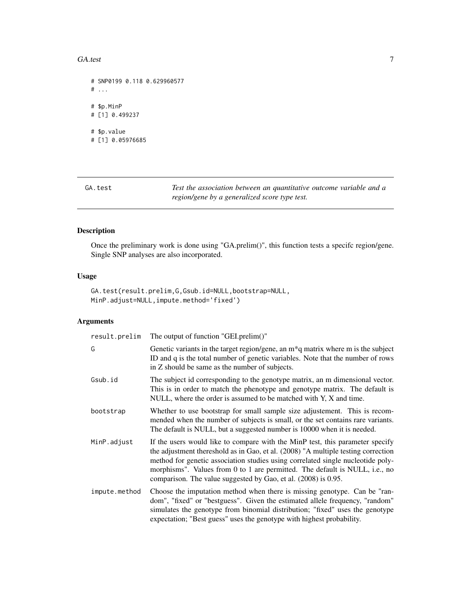#### <span id="page-6-0"></span>GA.test 7

```
# SNP0199 0.118 0.629960577
# . . .
# $p.MinP
# [1] 0.499237
# $p.value
# [1] 0.05976685
```
GA.test *Test the association between an quantitative outcome variable and a region/gene by a generalized score type test.*

## Description

Once the preliminary work is done using "GA.prelim()", this function tests a specifc region/gene. Single SNP analyses are also incorporated.

#### Usage

GA.test(result.prelim,G,Gsub.id=NULL,bootstrap=NULL, MinP.adjust=NULL,impute.method='fixed')

## Arguments

| result.prelim | The output of function "GEI.prelim()"                                                                                                                                                                                                                                                                                                                                                                  |  |  |
|---------------|--------------------------------------------------------------------------------------------------------------------------------------------------------------------------------------------------------------------------------------------------------------------------------------------------------------------------------------------------------------------------------------------------------|--|--|
| G             | Genetic variants in the target region/gene, an $m*q$ matrix where $m$ is the subject<br>ID and q is the total number of genetic variables. Note that the number of rows<br>in Z should be same as the number of subjects.                                                                                                                                                                              |  |  |
| Gsub.id       | The subject id corresponding to the genotype matrix, an m dimensional vector.<br>This is in order to match the phenotype and genotype matrix. The default is<br>NULL, where the order is assumed to be matched with Y, X and time.                                                                                                                                                                     |  |  |
| bootstrap     | Whether to use bootstrap for small sample size adjustement. This is recom-<br>mended when the number of subjects is small, or the set contains rare variants.<br>The default is NULL, but a suggested number is 10000 when it is needed.                                                                                                                                                               |  |  |
| MinP.adjust   | If the users would like to compare with the MinP test, this parameter specify<br>the adjustment thereshold as in Gao, et al. (2008) "A multiple testing correction<br>method for genetic association studies using correlated single nucleotide poly-<br>morphisms". Values from 0 to 1 are permitted. The default is NULL, i.e., no<br>comparison. The value suggested by Gao, et al. (2008) is 0.95. |  |  |
| impute.method | Choose the imputation method when there is missing genotype. Can be "ran-<br>dom", "fixed" or "bestguess". Given the estimated allele frequency, "random"<br>simulates the genotype from binomial distribution; "fixed" uses the genotype<br>expectation; "Best guess" uses the genotype with highest probability.                                                                                     |  |  |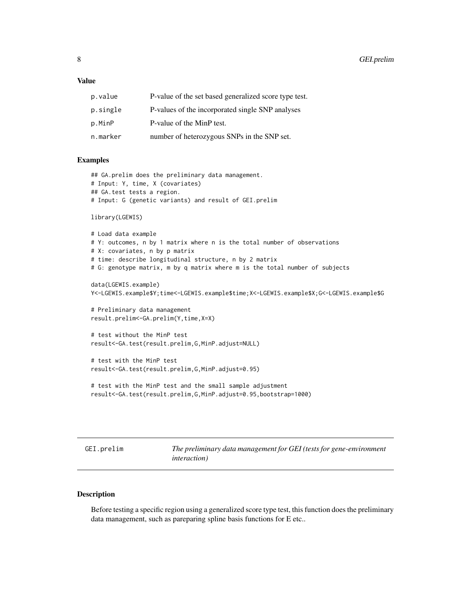#### <span id="page-7-0"></span>Value

| p.value  | P-value of the set based generalized score type test. |
|----------|-------------------------------------------------------|
| p.single | P-values of the incorporated single SNP analyses      |
| p.MinP   | P-value of the MinP test.                             |
| n.marker | number of heterozygous SNPs in the SNP set.           |

#### Examples

```
## GA.prelim does the preliminary data management.
# Input: Y, time, X (covariates)
## GA.test tests a region.
# Input: G (genetic variants) and result of GEI.prelim
library(LGEWIS)
# Load data example
# Y: outcomes, n by 1 matrix where n is the total number of observations
# X: covariates, n by p matrix
# time: describe longitudinal structure, n by 2 matrix
# G: genotype matrix, m by q matrix where m is the total number of subjects
data(LGEWIS.example)
Y<-LGEWIS.example$Y;time<-LGEWIS.example$time;X<-LGEWIS.example$X;G<-LGEWIS.example$G
# Preliminary data management
result.prelim<-GA.prelim(Y,time,X=X)
# test without the MinP test
result<-GA.test(result.prelim,G,MinP.adjust=NULL)
# test with the MinP test
result<-GA.test(result.prelim,G,MinP.adjust=0.95)
# test with the MinP test and the small sample adjustment
result<-GA.test(result.prelim,G,MinP.adjust=0.95,bootstrap=1000)
```
GEI.prelim *The preliminary data management for GEI (tests for gene-environment interaction)*

#### Description

Before testing a specific region using a generalized score type test, this function does the preliminary data management, such as pareparing spline basis functions for E etc..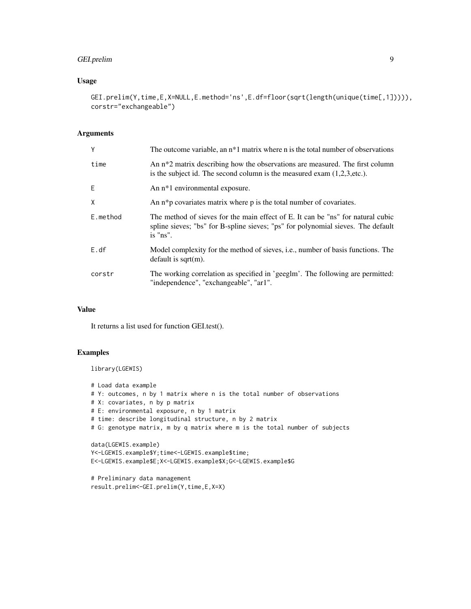## GEI.prelim 9

#### Usage

GEI.prelim(Y,time,E,X=NULL,E.method='ns',E.df=floor(sqrt(length(unique(time[,1])))), corstr="exchangeable")

## Arguments

| Y        | The outcome variable, an $n*1$ matrix where n is the total number of observations                                                                                               |  |  |
|----------|---------------------------------------------------------------------------------------------------------------------------------------------------------------------------------|--|--|
| time     | An n <sup>*2</sup> matrix describing how the observations are measured. The first column<br>is the subject id. The second column is the measured exam $(1,2,3,etc.).$           |  |  |
| E        | An n <sup>*1</sup> environmental exposure.                                                                                                                                      |  |  |
| X        | An $n * p$ covariates matrix where $p$ is the total number of covariates.                                                                                                       |  |  |
| E.method | The method of sieves for the main effect of E. It can be "ns" for natural cubic<br>spline sieves; "bs" for B-spline sieves; "ps" for polynomial sieves. The default<br>is "ns". |  |  |
| E. df    | Model complexity for the method of sieves, <i>i.e.</i> , number of basis functions. The<br>default is sqrt $(m)$ .                                                              |  |  |
| corstr   | The working correlation as specified in 'geeglm'. The following are permitted:<br>"independence", "exchangeable", "ar1".                                                        |  |  |

## Value

It returns a list used for function GEI.test().

### Examples

library(LGEWIS)

```
# Load data example
# Y: outcomes, n by 1 matrix where n is the total number of observations
# X: covariates, n by p matrix
# E: environmental exposure, n by 1 matrix
# time: describe longitudinal structure, n by 2 matrix
# G: genotype matrix, m by q matrix where m is the total number of subjects
data(LGEWIS.example)
Y<-LGEWIS.example$Y;time<-LGEWIS.example$time;
E<-LGEWIS.example$E;X<-LGEWIS.example$X;G<-LGEWIS.example$G
# Preliminary data management
```

```
result.prelim<-GEI.prelim(Y,time,E,X=X)
```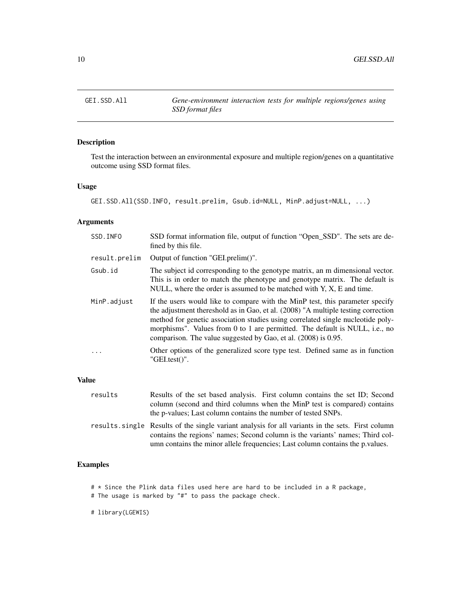<span id="page-9-0"></span>GEI.SSD.All *Gene-environment interaction tests for multiple regions/genes using SSD format files*

## Description

Test the interaction between an environmental exposure and multiple region/genes on a quantitative outcome using SSD format files.

### Usage

GEI.SSD.All(SSD.INFO, result.prelim, Gsub.id=NULL, MinP.adjust=NULL, ...)

## Arguments

| SSD. INFO     | SSD format information file, output of function "Open_SSD". The sets are de-<br>fined by this file.                                                                                                                                                                                                                                                                                                    |  |  |
|---------------|--------------------------------------------------------------------------------------------------------------------------------------------------------------------------------------------------------------------------------------------------------------------------------------------------------------------------------------------------------------------------------------------------------|--|--|
| result.prelim | Output of function "GEI.prelim()".                                                                                                                                                                                                                                                                                                                                                                     |  |  |
| Gsub.id       | The subject id corresponding to the genotype matrix, an m dimensional vector.<br>This is in order to match the phenotype and genotype matrix. The default is<br>NULL, where the order is assumed to be matched with $Y, X, E$ and time.                                                                                                                                                                |  |  |
| MinP.adjust   | If the users would like to compare with the MinP test, this parameter specify<br>the adjustment thereshold as in Gao, et al. (2008) "A multiple testing correction<br>method for genetic association studies using correlated single nucleotide poly-<br>morphisms". Values from 0 to 1 are permitted. The default is NULL, i.e., no<br>comparison. The value suggested by Gao, et al. (2008) is 0.95. |  |  |
| $\cdot$       | Other options of the generalized score type test. Defined same as in function<br>$"GEL.test()"$ .                                                                                                                                                                                                                                                                                                      |  |  |
|               |                                                                                                                                                                                                                                                                                                                                                                                                        |  |  |

## Value

| results | Results of the set based analysis. First column contains the set ID; Second                      |
|---------|--------------------------------------------------------------------------------------------------|
|         | column (second and third columns when the MinP test is compared) contains                        |
|         | the p-values; Last column contains the number of tested SNPs.                                    |
|         | results single Results of the single variant analysis for all variants in the sets. First column |
|         | contains the regions' names; Second column is the variants' names; Third col-                    |

umn contains the minor allele frequencies; Last column contains the p.values.

## Examples

# \* Since the Plink data files used here are hard to be included in a R package,

# The usage is marked by "#" to pass the package check.

# library(LGEWIS)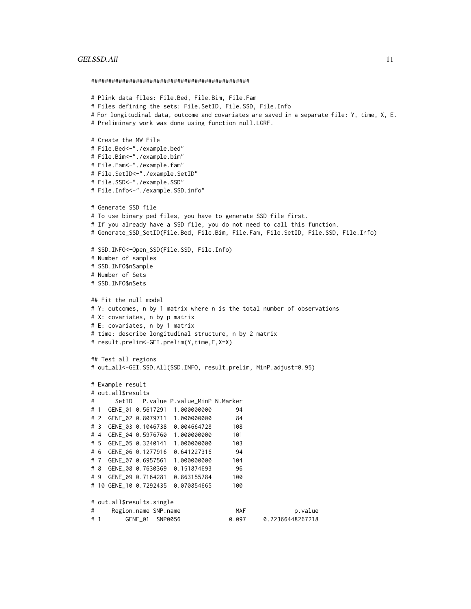#### GEI.SSD.All 11

##############################################

```
# Plink data files: File.Bed, File.Bim, File.Fam
# Files defining the sets: File.SetID, File.SSD, File.Info
# For longitudinal data, outcome and covariates are saved in a separate file: Y, time, X, E.
# Preliminary work was done using function null.LGRF.
# Create the MW File
# File.Bed<-"./example.bed"
# File.Bim<-"./example.bim"
# File.Fam<-"./example.fam"
# File.SetID<-"./example.SetID"
# File.SSD<-"./example.SSD"
# File.Info<-"./example.SSD.info"
# Generate SSD file
# To use binary ped files, you have to generate SSD file first.
# If you already have a SSD file, you do not need to call this function.
# Generate_SSD_SetID(File.Bed, File.Bim, File.Fam, File.SetID, File.SSD, File.Info)
# SSD.INFO<-Open_SSD(File.SSD, File.Info)
# Number of samples
# SSD.INFO$nSample
# Number of Sets
# SSD.INFO$nSets
## Fit the null model
# Y: outcomes, n by 1 matrix where n is the total number of observations
# X: covariates, n by p matrix
# E: covariates, n by 1 matrix
# time: describe longitudinal structure, n by 2 matrix
# result.prelim<-GEI.prelim(Y,time,E,X=X)
## Test all regions
# out_all<-GEI.SSD.All(SSD.INFO, result.prelim, MinP.adjust=0.95)
# Example result
# out.all$results
# SetID P.value P.value_MinP N.Marker
# 1 GENE_01 0.5617291 1.000000000 94
# 2 GENE_02 0.8079711 1.000000000 84
# 3 GENE_03 0.1046738 0.004664728 108
# 4 GENE_04 0.5976760 1.000000000 101
# 5 GENE_05 0.3240141 1.000000000 103
# 6 GENE_06 0.1277916 0.641227316 94
# 7 GENE_07 0.6957561 1.000000000 104
# 8 GENE_08 0.7630369 0.151874693 96
# 9 GENE_09 0.7164281 0.863155784 100
# 10 GENE_10 0.7292435 0.070854665 100
# out.all$results.single
# Region.name SNP.name MAF p.value
# 1 GENE_01 SNP0056 0.097 0.72366448267218
```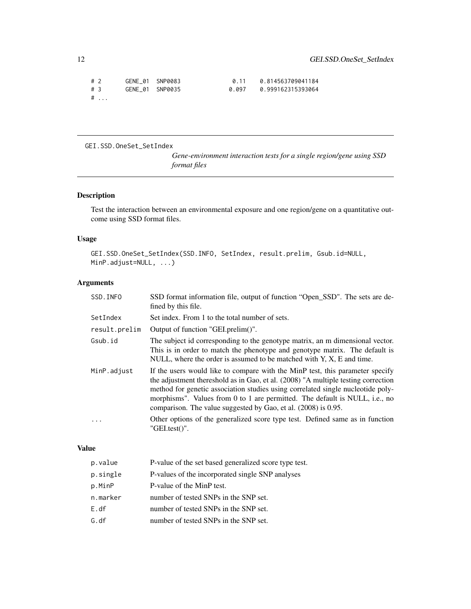<span id="page-11-0"></span>

| #2   | GENE 01 SNP0083 | 0 1 1 | 0.814563709041184 |
|------|-----------------|-------|-------------------|
| #3   | GENE 01 SNP0035 | 0.097 | 0.999162315393064 |
| $\#$ |                 |       |                   |

GEI.SSD.OneSet\_SetIndex

*Gene-environment interaction tests for a single region/gene using SSD format files*

## Description

Test the interaction between an environmental exposure and one region/gene on a quantitative outcome using SSD format files.

#### Usage

```
GEI.SSD.OneSet_SetIndex(SSD.INFO, SetIndex, result.prelim, Gsub.id=NULL,
MinP.adjust=NULL, ...)
```
## Arguments

| SSD. INFO     | SSD format information file, output of function "Open_SSD". The sets are de-<br>fined by this file.                                                                                                                                                                                                                                                                                                    |
|---------------|--------------------------------------------------------------------------------------------------------------------------------------------------------------------------------------------------------------------------------------------------------------------------------------------------------------------------------------------------------------------------------------------------------|
| SetIndex      | Set index. From 1 to the total number of sets.                                                                                                                                                                                                                                                                                                                                                         |
| result.prelim | Output of function "GEI.prelim()".                                                                                                                                                                                                                                                                                                                                                                     |
| Gsub.id       | The subject id corresponding to the genotype matrix, an m dimensional vector.<br>This is in order to match the phenotype and genotype matrix. The default is<br>NULL, where the order is assumed to be matched with $Y$ , $X$ , $E$ and time.                                                                                                                                                          |
| MinP.adjust   | If the users would like to compare with the MinP test, this parameter specify<br>the adjustment thereshold as in Gao, et al. (2008) "A multiple testing correction<br>method for genetic association studies using correlated single nucleotide poly-<br>morphisms". Values from 0 to 1 are permitted. The default is NULL, i.e., no<br>comparison. The value suggested by Gao, et al. (2008) is 0.95. |
|               | Other options of the generalized score type test. Defined same as in function<br>$"GEL.test()"$ .                                                                                                                                                                                                                                                                                                      |

#### Value

| p.value  | P-value of the set based generalized score type test. |
|----------|-------------------------------------------------------|
| p.single | P-values of the incorporated single SNP analyses      |
| p.MinP   | P-value of the MinP test.                             |
| n.marker | number of tested SNPs in the SNP set.                 |
| E. df    | number of tested SNPs in the SNP set.                 |
| G. df    | number of tested SNPs in the SNP set.                 |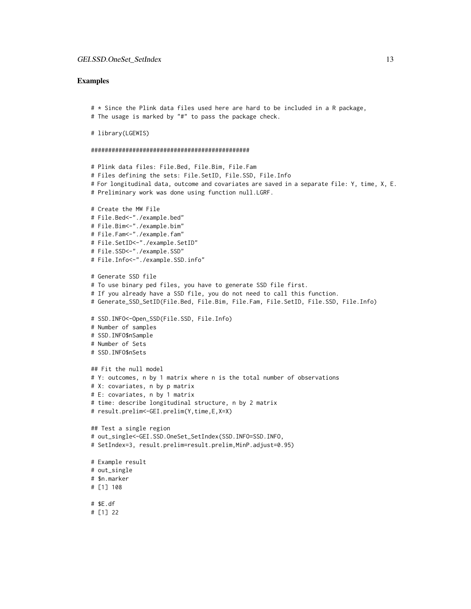#### Examples

# \* Since the Plink data files used here are hard to be included in a R package, # The usage is marked by "#" to pass the package check.

```
# library(LGEWIS)
```

```
##############################################
```

```
# Plink data files: File.Bed, File.Bim, File.Fam
# Files defining the sets: File.SetID, File.SSD, File.Info
# For longitudinal data, outcome and covariates are saved in a separate file: Y, time, X, E.
# Preliminary work was done using function null.LGRF.
# Create the MW File
# File.Bed<-"./example.bed"
# File.Bim<-"./example.bim"
# File.Fam<-"./example.fam"
# File.SetID<-"./example.SetID"
# File.SSD<-"./example.SSD"
# File.Info<-"./example.SSD.info"
# Generate SSD file
# To use binary ped files, you have to generate SSD file first.
# If you already have a SSD file, you do not need to call this function.
# Generate_SSD_SetID(File.Bed, File.Bim, File.Fam, File.SetID, File.SSD, File.Info)
# SSD.INFO<-Open_SSD(File.SSD, File.Info)
# Number of samples
# SSD.INFO$nSample
# Number of Sets
# SSD.INFO$nSets
## Fit the null model
# Y: outcomes, n by 1 matrix where n is the total number of observations
# X: covariates, n by p matrix
# E: covariates, n by 1 matrix
# time: describe longitudinal structure, n by 2 matrix
# result.prelim<-GEI.prelim(Y,time,E,X=X)
## Test a single region
# out_single<-GEI.SSD.OneSet_SetIndex(SSD.INFO=SSD.INFO,
# SetIndex=3, result.prelim=result.prelim,MinP.adjust=0.95)
# Example result
# out_single
# $n.marker
# [1] 108
# $E.df
# [1] 22
```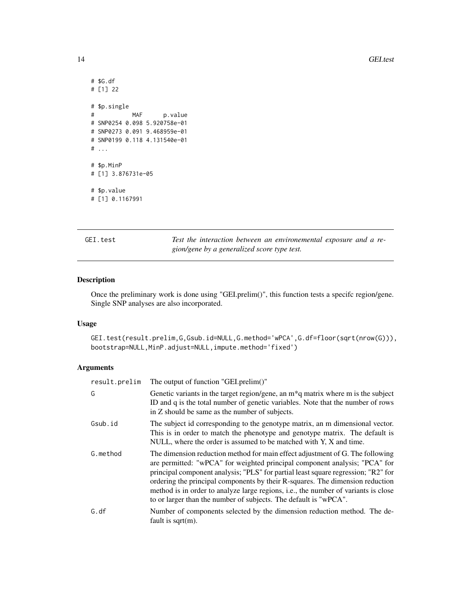```
# $G.df
# [1] 22
# $p.single
# MAF p.value
# SNP0254 0.098 5.920758e-01
# SNP0273 0.091 9.468959e-01
# SNP0199 0.118 4.131540e-01
# ...
# $p.MinP
# [1] 3.876731e-05
# $p.value
# [1] 0.1167991
```
GEI.test *Test the interaction between an environemental exposure and a region/gene by a generalized score type test.*

#### Description

Once the preliminary work is done using "GEI.prelim()", this function tests a specifc region/gene. Single SNP analyses are also incorporated.

#### Usage

GEI.test(result.prelim,G,Gsub.id=NULL,G.method='wPCA',G.df=floor(sqrt(nrow(G))), bootstrap=NULL,MinP.adjust=NULL,impute.method='fixed')

## Arguments

| result.prelim | The output of function "GEI.prelim()"                                                                                                                                                                                                                                                                                                                                                                                                                                                               |
|---------------|-----------------------------------------------------------------------------------------------------------------------------------------------------------------------------------------------------------------------------------------------------------------------------------------------------------------------------------------------------------------------------------------------------------------------------------------------------------------------------------------------------|
| G             | Genetic variants in the target region/gene, an $m*q$ matrix where m is the subject<br>ID and q is the total number of genetic variables. Note that the number of rows<br>in Z should be same as the number of subjects.                                                                                                                                                                                                                                                                             |
| Gsub.id       | The subject id corresponding to the genotype matrix, an m dimensional vector.<br>This is in order to match the phenotype and genotype matrix. The default is<br>NULL, where the order is assumed to be matched with Y, X and time.                                                                                                                                                                                                                                                                  |
| G.method      | The dimension reduction method for main effect adjustment of G. The following<br>are permitted: "wPCA" for weighted principal component analysis; "PCA" for<br>principal component analysis; "PLS" for partial least square regression; "R2" for<br>ordering the principal components by their R-squares. The dimension reduction<br>method is in order to analyze large regions, <i>i.e.</i> , the number of variants is close<br>to or larger than the number of subjects. The default is "wPCA". |
| G.df          | Number of components selected by the dimension reduction method. The de-<br>fault is $sqrt(m)$ .                                                                                                                                                                                                                                                                                                                                                                                                    |

<span id="page-13-0"></span>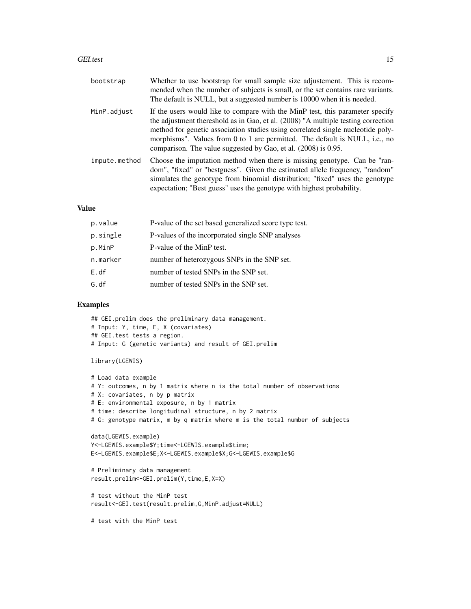#### GEI.test 15

| bootstrap     | Whether to use bootstrap for small sample size adjustement. This is recom-<br>mended when the number of subjects is small, or the set contains rare variants.<br>The default is NULL, but a suggested number is 10000 when it is needed.                                                                                                                                                               |
|---------------|--------------------------------------------------------------------------------------------------------------------------------------------------------------------------------------------------------------------------------------------------------------------------------------------------------------------------------------------------------------------------------------------------------|
| MinP.adjust   | If the users would like to compare with the MinP test, this parameter specify<br>the adjustment thereshold as in Gao, et al. (2008) "A multiple testing correction<br>method for genetic association studies using correlated single nucleotide poly-<br>morphisms". Values from 0 to 1 are permitted. The default is NULL, i.e., no<br>comparison. The value suggested by Gao, et al. (2008) is 0.95. |
| impute.method | Choose the imputation method when there is missing genotype. Can be "ran-<br>dom", "fixed" or "bestguess". Given the estimated allele frequency, "random"<br>simulates the genotype from binomial distribution; "fixed" uses the genotype<br>expectation; "Best guess" uses the genotype with highest probability.                                                                                     |
|               |                                                                                                                                                                                                                                                                                                                                                                                                        |

#### Value

| p.value  | P-value of the set based generalized score type test. |
|----------|-------------------------------------------------------|
| p.single | P-values of the incorporated single SNP analyses      |
| p.MinP   | P-value of the MinP test.                             |
| n.marker | number of heterozygous SNPs in the SNP set.           |
| E. df    | number of tested SNPs in the SNP set.                 |
| G. df    | number of tested SNPs in the SNP set.                 |

### Examples

```
## GEI.prelim does the preliminary data management.
# Input: Y, time, E, X (covariates)
## GEI.test tests a region.
# Input: G (genetic variants) and result of GEI.prelim
```

```
library(LGEWIS)
```

```
# Load data example
# Y: outcomes, n by 1 matrix where n is the total number of observations
# X: covariates, n by p matrix
# E: environmental exposure, n by 1 matrix
# time: describe longitudinal structure, n by 2 matrix
# G: genotype matrix, m by q matrix where m is the total number of subjects
data(LGEWIS.example)
Y<-LGEWIS.example$Y;time<-LGEWIS.example$time;
E<-LGEWIS.example$E;X<-LGEWIS.example$X;G<-LGEWIS.example$G
# Preliminary data management
result.prelim<-GEI.prelim(Y,time,E,X=X)
# test without the MinP test
result<-GEI.test(result.prelim,G,MinP.adjust=NULL)
# test with the MinP test
```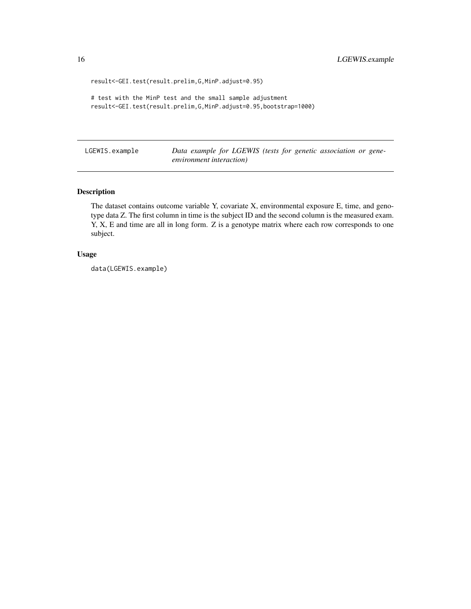```
result<-GEI.test(result.prelim,G,MinP.adjust=0.95)
```

```
# test with the MinP test and the small sample adjustment
result<-GEI.test(result.prelim,G,MinP.adjust=0.95,bootstrap=1000)
```
LGEWIS.example *Data example for LGEWIS (tests for genetic association or geneenvironment interaction)*

#### Description

The dataset contains outcome variable Y, covariate X, environmental exposure E, time, and genotype data Z. The first column in time is the subject ID and the second column is the measured exam. Y, X, E and time are all in long form. Z is a genotype matrix where each row corresponds to one subject.

## Usage

data(LGEWIS.example)